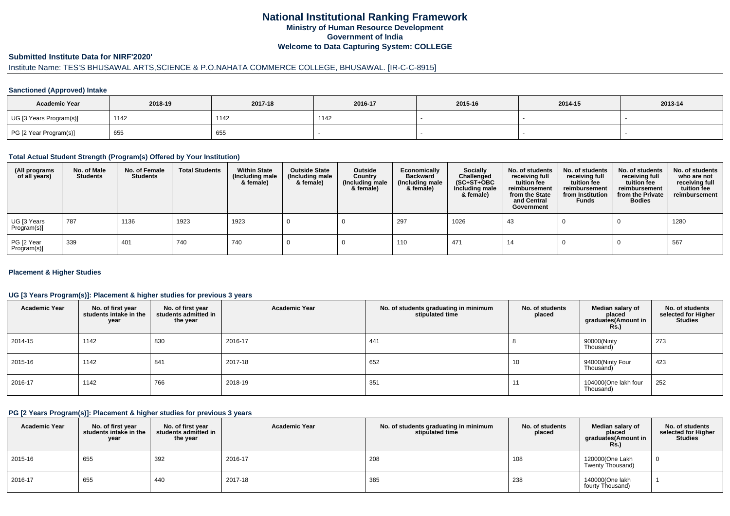## **National Institutional Ranking FrameworkMinistry of Human Resource DevelopmentGovernment of IndiaWelcome to Data Capturing System: COLLEGE**

### **Submitted Institute Data for NIRF'2020'**

# Institute Name: TES'S BHUSAWAL ARTS,SCIENCE & P.O.NAHATA COMMERCE COLLEGE, BHUSAWAL. [IR-C-C-8915]

### **Sanctioned (Approved) Intake**

| <b>Academic Year</b>    | 2018-19 | 2017-18 | 2016-17 | 2015-16 | 2014-15 | 2013-14 |  |
|-------------------------|---------|---------|---------|---------|---------|---------|--|
| UG [3 Years Program(s)] | 1142    | 1142    | 1142    |         |         |         |  |
| PG [2 Year Program(s)]  | 655     | 655     |         |         |         |         |  |

#### **Total Actual Student Strength (Program(s) Offered by Your Institution)**

| (All programs<br>of all years) | No. of Male<br><b>Students</b> | No. of Female<br><b>Students</b> | <b>Total Students</b> | <b>Within State</b><br>(Including male<br>& female) | <b>Outside State</b><br>(Including male<br>& female) | Outside<br>Country<br>(Including male<br>& female) | Economically<br><b>Backward</b><br>(Including male<br>& female) | <b>Socially</b><br>Challenged<br>$(SC+ST+OBC)$<br>Including male<br>& female) | No. of students<br>receiving full<br>tuition fee<br>reimbursement<br>from the State<br>and Central<br>Government | No. of students<br>receiving full<br>tuition fee<br>reimbursement<br>from Institution<br><b>Funds</b> | No. of students<br>receiving full<br>tuition fee<br>reimbursement<br>from the Private<br><b>Bodies</b> | No. of students<br>who are not<br>receiving full<br>tuition fee<br>reimbursement |
|--------------------------------|--------------------------------|----------------------------------|-----------------------|-----------------------------------------------------|------------------------------------------------------|----------------------------------------------------|-----------------------------------------------------------------|-------------------------------------------------------------------------------|------------------------------------------------------------------------------------------------------------------|-------------------------------------------------------------------------------------------------------|--------------------------------------------------------------------------------------------------------|----------------------------------------------------------------------------------|
| UG [3 Years<br>Program(s)]     | 787                            | 1136                             | 1923                  | 1923                                                |                                                      |                                                    | 297                                                             | 1026                                                                          | 43                                                                                                               |                                                                                                       |                                                                                                        | 1280                                                                             |
| PG [2 Year<br>Program(s)]      | 339                            | 401                              | 740                   | 740                                                 |                                                      |                                                    | 110                                                             | 471                                                                           | 14                                                                                                               |                                                                                                       |                                                                                                        | 567                                                                              |

### **Placement & Higher Studies**

### **UG [3 Years Program(s)]: Placement & higher studies for previous 3 years**

| <b>Academic Year</b> | No. of first year<br>students intake in the<br>year | No. of first year<br>students admitted in<br>the year | <b>Academic Year</b> | No. of students graduating in minimum<br>stipulated time | No. of students<br>placed | Median salary of<br>placed<br>graduates(Amount in<br><b>Rs.)</b> | No. of students<br>selected for Higher<br><b>Studies</b> |
|----------------------|-----------------------------------------------------|-------------------------------------------------------|----------------------|----------------------------------------------------------|---------------------------|------------------------------------------------------------------|----------------------------------------------------------|
| 2014-15              | 1142                                                | 830                                                   | 2016-17              | 441                                                      |                           | 90000(Ninty<br>Thousand)                                         | 273                                                      |
| 2015-16              | 1142                                                | 841                                                   | 2017-18              | 652                                                      | 10                        | 94000(Ninty Four<br>Thousand)                                    | 423                                                      |
| 2016-17              | 1142                                                | 766                                                   | 2018-19              | 351                                                      | 11                        | 104000(One lakh four<br>Thousand)                                | 252                                                      |

#### **PG [2 Years Program(s)]: Placement & higher studies for previous 3 years**

| <b>Academic Year</b> | No. of first year<br>students intake in the<br>year | No. of first vear<br>students admitted in<br>the year | <b>Academic Year</b> | No. of students graduating in minimum<br>stipulated time | No. of students<br>placed | Median salary of<br>placed<br>graduates(Amount in<br><b>Rs.)</b> | No. of students<br>selected for Higher<br><b>Studies</b> |
|----------------------|-----------------------------------------------------|-------------------------------------------------------|----------------------|----------------------------------------------------------|---------------------------|------------------------------------------------------------------|----------------------------------------------------------|
| 2015-16              | 655                                                 | 392                                                   | 2016-17              | 208                                                      | 108                       | 120000(One Lakh<br>Twenty Thousand)                              |                                                          |
| 2016-17              | 655                                                 | 440                                                   | 2017-18              | 385                                                      | 238                       | 140000(One lakh<br>fourty Thousand)                              |                                                          |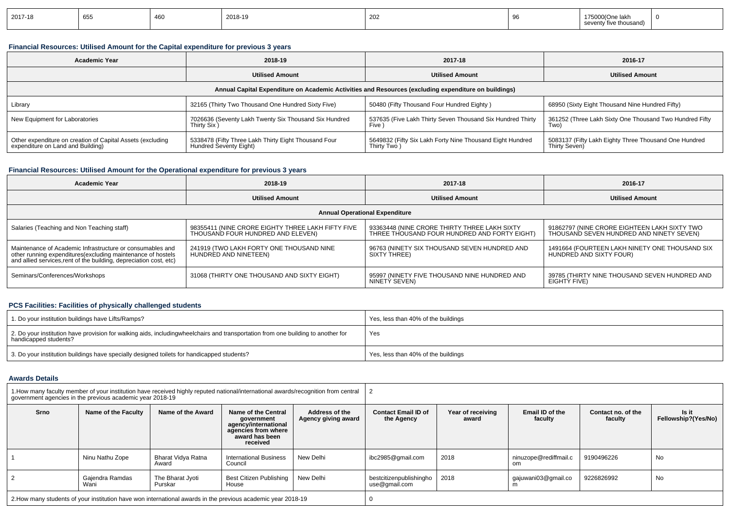| 2017-18 | 655 |  | 2018-19 | $\sim$<br>202 |  | . Jne<br>: Іал<br>five thousand) |  |
|---------|-----|--|---------|---------------|--|----------------------------------|--|
|---------|-----|--|---------|---------------|--|----------------------------------|--|

### **Financial Resources: Utilised Amount for the Capital expenditure for previous 3 years**

| <b>Academic Year</b>                                                                            | 2018-19                                                                        | 2017-18                                                                                              | 2016-17                                                                |  |
|-------------------------------------------------------------------------------------------------|--------------------------------------------------------------------------------|------------------------------------------------------------------------------------------------------|------------------------------------------------------------------------|--|
|                                                                                                 | <b>Utilised Amount</b>                                                         | <b>Utilised Amount</b>                                                                               | <b>Utilised Amount</b>                                                 |  |
|                                                                                                 |                                                                                | Annual Capital Expenditure on Academic Activities and Resources (excluding expenditure on buildings) |                                                                        |  |
| Library                                                                                         | 32165 (Thirty Two Thousand One Hundred Sixty Five)                             | 50480 (Fifty Thousand Four Hundred Eighty)                                                           | 68950 (Sixty Eight Thousand Nine Hundred Fifty)                        |  |
| New Equipment for Laboratories                                                                  | 7026636 (Seventy Lakh Twenty Six Thousand Six Hundred<br>Thirty Six)           | 537635 (Five Lakh Thirty Seven Thousand Six Hundred Thirty<br>Five )                                 | 361252 (Three Lakh Sixty One Thousand Two Hundred Fifty<br>Two)        |  |
| Other expenditure on creation of Capital Assets (excluding<br>expenditure on Land and Building) | 5338478 (Fifty Three Lakh Thirty Eight Thousand Four<br>Hundred Seventy Eight) | 5649832 (Fifty Six Lakh Forty Nine Thousand Eight Hundred<br>Thirty Two)                             | 5083137 (Fifty Lakh Eighty Three Thousand One Hundred<br>Thirty Seven) |  |

### **Financial Resources: Utilised Amount for the Operational expenditure for previous 3 years**

| <b>Academic Year</b>                                                                                                                                                                           | 2018-19                                                                                | 2017-18                                                                                      | 2016-17                                                                                  |  |
|------------------------------------------------------------------------------------------------------------------------------------------------------------------------------------------------|----------------------------------------------------------------------------------------|----------------------------------------------------------------------------------------------|------------------------------------------------------------------------------------------|--|
|                                                                                                                                                                                                | <b>Utilised Amount</b>                                                                 | <b>Utilised Amount</b>                                                                       | <b>Utilised Amount</b>                                                                   |  |
|                                                                                                                                                                                                |                                                                                        | <b>Annual Operational Expenditure</b>                                                        |                                                                                          |  |
| Salaries (Teaching and Non Teaching staff)                                                                                                                                                     | 98355411 (NINE CRORE EIGHTY THREE LAKH FIFTY FIVE<br>THOUSAND FOUR HUNDRED AND ELEVEN) | 93363448 (NINE CRORE THIRTY THREE LAKH SIXTY<br>THREE THOUSAND FOUR HUNDRED AND FORTY EIGHT) | 91862797 (NINE CRORE EIGHTEEN LAKH SIXTY TWO<br>THOUSAND SEVEN HUNDRED AND NINETY SEVEN) |  |
| Maintenance of Academic Infrastructure or consumables and<br>other running expenditures(excluding maintenance of hostels<br>and allied services, rent of the building, depreciation cost, etc) | 241919 (TWO LAKH FORTY ONE THOUSAND NINE<br>HUNDRÈD AND NINETEEN)                      | 96763 (NINETY SIX THOUSAND SEVEN HUNDRED AND<br>SIXTY THREE)                                 | 1491664 (FOURTEEN LAKH NINETY ONE THOUSAND SIX<br>HUNDRED AND SIXTY FOUR)                |  |
| Seminars/Conferences/Workshops                                                                                                                                                                 | 31068 (THIRTY ONE THOUSAND AND SIXTY EIGHT)                                            | 95997 (NINETY FIVE THOUSAND NINE HUNDRED AND<br>NINETÝ SEVEN)                                | 39785 (THIRTY NINE THOUSAND SEVEN HUNDRED AND<br>EIGHTÝ FIVE)                            |  |

## **PCS Facilities: Facilities of physically challenged students**

| 1. Do your institution buildings have Lifts/Ramps?                                                                                                        | Yes, less than 40% of the buildings |
|-----------------------------------------------------------------------------------------------------------------------------------------------------------|-------------------------------------|
| 2. Do your institution have provision for walking aids, includingwheelchairs and transportation from one building to another for<br>handicapped students? | Yes                                 |
| 3. Do your institution buildings have specially designed toilets for handicapped students?                                                                | Yes, less than 40% of the buildings |

### **Awards Details**

|                | government agencies in the previous academic year 2018-19 |                             | 1. How many faculty member of your institution have received highly reputed national/international awards/recognition from central |                                       |                                          |                            |                              |                               |                              |
|----------------|-----------------------------------------------------------|-----------------------------|------------------------------------------------------------------------------------------------------------------------------------|---------------------------------------|------------------------------------------|----------------------------|------------------------------|-------------------------------|------------------------------|
| Srno           | Name of the Faculty                                       | Name of the Award           | Name of the Central<br>government<br>agency/international<br>agencies from where<br>award has been<br>received                     | Address of the<br>Agency giving award | <b>Contact Email ID of</b><br>the Agency | Year of receiving<br>award | Email ID of the<br>faculty   | Contact no, of the<br>faculty | Is it<br>Fellowship?(Yes/No) |
|                | Ninu Nathu Zope                                           | Bharat Vidya Ratna<br>Award | <b>International Business</b><br>Council                                                                                           | New Delhi                             | ibc2985@gmail.com                        | 2018                       | ninuzope@rediffmail.c<br>om. | 9190496226                    | No                           |
| $\overline{2}$ | Gajendra Ramdas<br>Wani                                   | The Bharat Jyoti<br>Purskar | Best Citizen Publishing  <br>House                                                                                                 | New Delhi                             | bestcitizenpublishingho<br>use@gmail.com | 2018                       | qajuwani03@gmail.co          | 9226826992                    | No                           |
|                |                                                           |                             | 2. How many students of your institution have won international awards in the previous academic year 2018-19                       |                                       |                                          |                            |                              |                               |                              |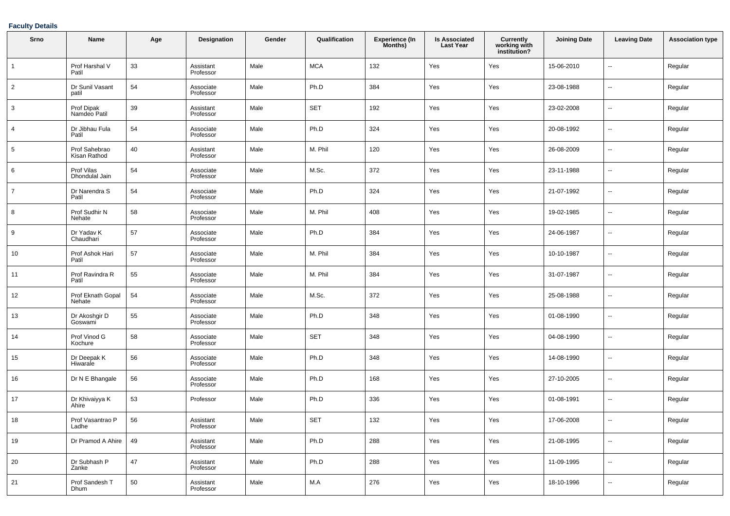### **Faculty Details**

| Srno            | Name                          | Age | <b>Designation</b>     | Gender | Qualification | <b>Experience (In</b><br>Months) | <b>Is Associated</b><br><b>Last Year</b> | Currently<br>working with<br>institution? | <b>Joining Date</b> | <b>Leaving Date</b>      | <b>Association type</b> |
|-----------------|-------------------------------|-----|------------------------|--------|---------------|----------------------------------|------------------------------------------|-------------------------------------------|---------------------|--------------------------|-------------------------|
| $\overline{1}$  | Prof Harshal V<br>Patil       | 33  | Assistant<br>Professor | Male   | <b>MCA</b>    | 132                              | Yes                                      | Yes                                       | 15-06-2010          | --                       | Regular                 |
| $\overline{2}$  | Dr Sunil Vasant<br>patil      | 54  | Associate<br>Professor | Male   | Ph.D          | 384                              | Yes                                      | Yes                                       | 23-08-1988          | $\overline{\phantom{a}}$ | Regular                 |
| 3               | Prof Dipak<br>Namdeo Patil    | 39  | Assistant<br>Professor | Male   | <b>SET</b>    | 192                              | Yes                                      | Yes                                       | 23-02-2008          | $\overline{\phantom{a}}$ | Regular                 |
| 4               | Dr Jibhau Fula<br>Patil       | 54  | Associate<br>Professor | Male   | Ph.D          | 324                              | Yes                                      | Yes                                       | 20-08-1992          | --                       | Regular                 |
| $5\phantom{.0}$ | Prof Sahebrao<br>Kisan Rathod | 40  | Assistant<br>Professor | Male   | M. Phil       | 120                              | Yes                                      | Yes                                       | 26-08-2009          | $\overline{\phantom{a}}$ | Regular                 |
| 6               | Prof Vilas<br>Dhondulal Jain  | 54  | Associate<br>Professor | Male   | M.Sc.         | 372                              | Yes                                      | Yes                                       | 23-11-1988          | --                       | Regular                 |
| $\overline{7}$  | Dr Narendra S<br>Patil        | 54  | Associate<br>Professor | Male   | Ph.D          | 324                              | Yes                                      | Yes                                       | 21-07-1992          | --                       | Regular                 |
| 8               | Prof Sudhir N<br>Nehate       | 58  | Associate<br>Professor | Male   | M. Phil       | 408                              | Yes                                      | Yes                                       | 19-02-1985          | $\overline{\phantom{a}}$ | Regular                 |
| 9               | Dr Yadav K<br>Chaudhari       | 57  | Associate<br>Professor | Male   | Ph.D          | 384                              | Yes                                      | Yes                                       | 24-06-1987          | --                       | Regular                 |
| 10              | Prof Ashok Hari<br>Patil      | 57  | Associate<br>Professor | Male   | M. Phil       | 384                              | Yes                                      | Yes                                       | 10-10-1987          | --                       | Regular                 |
| 11              | Prof Ravindra R<br>Patil      | 55  | Associate<br>Professor | Male   | M. Phil       | 384                              | Yes                                      | Yes                                       | 31-07-1987          | --                       | Regular                 |
| 12              | Prof Eknath Gopal<br>Nehate   | 54  | Associate<br>Professor | Male   | M.Sc.         | 372                              | Yes                                      | Yes                                       | 25-08-1988          | --                       | Regular                 |
| 13              | Dr Akoshgir D<br>Goswami      | 55  | Associate<br>Professor | Male   | Ph.D          | 348                              | Yes                                      | Yes                                       | 01-08-1990          | --                       | Regular                 |
| 14              | Prof Vinod G<br>Kochure       | 58  | Associate<br>Professor | Male   | <b>SET</b>    | 348                              | Yes                                      | Yes                                       | 04-08-1990          | --                       | Regular                 |
| 15              | Dr Deepak K<br>Hiwarale       | 56  | Associate<br>Professor | Male   | Ph.D          | 348                              | Yes                                      | Yes                                       | 14-08-1990          | --                       | Regular                 |
| 16              | Dr N E Bhangale               | 56  | Associate<br>Professor | Male   | Ph.D          | 168                              | Yes                                      | Yes                                       | 27-10-2005          | --                       | Regular                 |
| 17              | Dr Khivaiyya K<br>Ahire       | 53  | Professor              | Male   | Ph.D          | 336                              | Yes                                      | Yes                                       | 01-08-1991          | --                       | Regular                 |
| 18              | Prof Vasantrao P<br>Ladhe     | 56  | Assistant<br>Professor | Male   | SET           | 132                              | Yes                                      | Yes                                       | 17-06-2008          |                          | Regular                 |
| 19              | Dr Pramod A Ahire             | 49  | Assistant<br>Professor | Male   | Ph.D          | 288                              | Yes                                      | Yes                                       | 21-08-1995          | $\sim$                   | Regular                 |
| 20              | Dr Subhash P<br>Zanke         | 47  | Assistant<br>Professor | Male   | Ph.D          | 288                              | Yes                                      | Yes                                       | 11-09-1995          | $\sim$                   | Regular                 |
| 21              | Prof Sandesh T<br>Dhum        | 50  | Assistant<br>Professor | Male   | M.A           | 276                              | Yes                                      | Yes                                       | 18-10-1996          | $\sim$                   | Regular                 |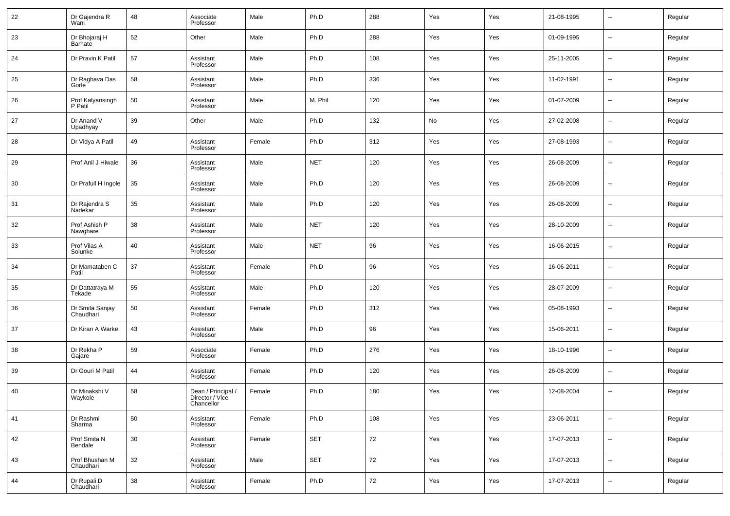| 22 | Dr Gajendra R<br>Wani        | 48 | Associate<br>Professor                              | Male   | Ph.D       | 288 | Yes | Yes | 21-08-1995 | $\sim$         | Regular |
|----|------------------------------|----|-----------------------------------------------------|--------|------------|-----|-----|-----|------------|----------------|---------|
| 23 | Dr Bhojaraj H<br>Barhate     | 52 | Other                                               | Male   | Ph.D       | 288 | Yes | Yes | 01-09-1995 | $\sim$         | Regular |
| 24 | Dr Pravin K Patil            | 57 | Assistant<br>Professor                              | Male   | Ph.D       | 108 | Yes | Yes | 25-11-2005 | $\sim$         | Regular |
| 25 | Dr Raghava Das<br>Gorle      | 58 | Assistant<br>Professor                              | Male   | Ph.D       | 336 | Yes | Yes | 11-02-1991 | $\sim$         | Regular |
| 26 | Prof Kalyansingh<br>P Patil  | 50 | Assistant<br>Professor                              | Male   | M. Phil    | 120 | Yes | Yes | 01-07-2009 | $\sim$         | Regular |
| 27 | Dr Anand V<br>Upadhyay       | 39 | Other                                               | Male   | Ph.D       | 132 | No  | Yes | 27-02-2008 | н.             | Regular |
| 28 | Dr Vidya A Patil             | 49 | Assistant<br>Professor                              | Female | Ph.D       | 312 | Yes | Yes | 27-08-1993 | $\sim$         | Regular |
| 29 | Prof Anil J Hiwale           | 36 | Assistant<br>Professor                              | Male   | <b>NET</b> | 120 | Yes | Yes | 26-08-2009 | $\sim$         | Regular |
| 30 | Dr Prafull H Ingole          | 35 | Assistant<br>Professor                              | Male   | Ph.D       | 120 | Yes | Yes | 26-08-2009 | $\sim$         | Regular |
| 31 | Dr Rajendra S<br>Nadekar     | 35 | Assistant<br>Professor                              | Male   | Ph.D       | 120 | Yes | Yes | 26-08-2009 | $\sim$         | Regular |
| 32 | Prof Ashish P<br>Nawghare    | 38 | Assistant<br>Professor                              | Male   | <b>NET</b> | 120 | Yes | Yes | 28-10-2009 | $\sim$         | Regular |
| 33 | Prof Vilas A<br>Solunke      | 40 | Assistant<br>Professor                              | Male   | <b>NET</b> | 96  | Yes | Yes | 16-06-2015 | $\sim$         | Regular |
| 34 | Dr Mamataben C<br>Patil      | 37 | Assistant<br>Professor                              | Female | Ph.D       | 96  | Yes | Yes | 16-06-2011 | --             | Regular |
| 35 | Dr Dattatraya M<br>Tekade    | 55 | Assistant<br>Professor                              | Male   | Ph.D       | 120 | Yes | Yes | 28-07-2009 | $\sim$         | Regular |
| 36 | Dr Smita Sanjay<br>Chaudhari | 50 | Assistant<br>Professor                              | Female | Ph.D       | 312 | Yes | Yes | 05-08-1993 | --             | Regular |
| 37 | Dr Kiran A Warke             | 43 | Assistant<br>Professor                              | Male   | Ph.D       | 96  | Yes | Yes | 15-06-2011 | ш.             | Regular |
| 38 | Dr Rekha P<br>Gajare         | 59 | Associate<br>Professor                              | Female | Ph.D       | 276 | Yes | Yes | 18-10-1996 | --             | Regular |
| 39 | Dr Gouri M Patil             | 44 | Assistant<br>Professor                              | Female | Ph.D       | 120 | Yes | Yes | 26-08-2009 | --             | Regular |
| 40 | Dr Minakshi V<br>Waykole     | 58 | Dean / Principal /<br>Director / Vice<br>Chancellor | Female | Ph.D       | 180 | Yes | Yes | 12-08-2004 | $\overline{a}$ | Regular |
| 41 | Dr Rashmi<br>Sharma          | 50 | Assistant<br>Professor                              | Female | Ph.D       | 108 | Yes | Yes | 23-06-2011 | $\sim$         | Regular |
| 42 | Prof Smita N<br>Bendale      | 30 | Assistant<br>Professor                              | Female | <b>SET</b> | 72  | Yes | Yes | 17-07-2013 | $\sim$         | Regular |
| 43 | Prof Bhushan M<br>Chaudhari  | 32 | Assistant<br>Professor                              | Male   | <b>SET</b> | 72  | Yes | Yes | 17-07-2013 | $\sim$         | Regular |
| 44 | Dr Rupali D<br>Chaudhari     | 38 | Assistant<br>Professor                              | Female | Ph.D       | 72  | Yes | Yes | 17-07-2013 | $\sim$         | Regular |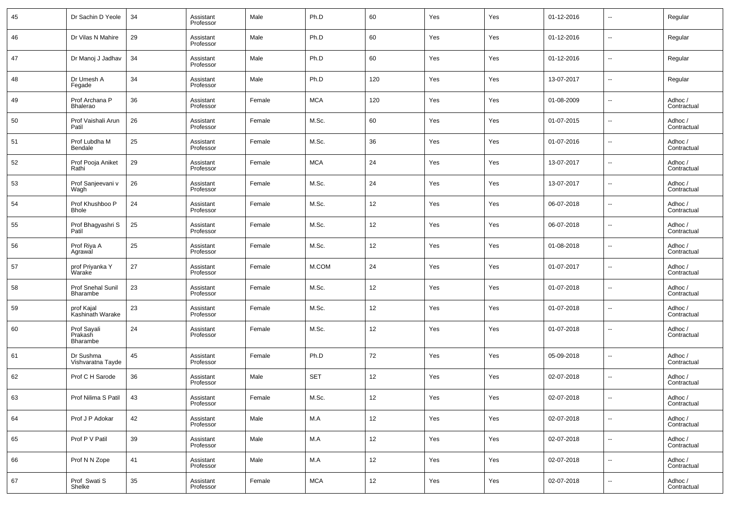| 45 | Dr Sachin D Yeole                  | 34 | Assistant<br>Professor | Male   | Ph.D       | 60                | Yes | Yes | 01-12-2016 | $\sim$                   | Regular                |
|----|------------------------------------|----|------------------------|--------|------------|-------------------|-----|-----|------------|--------------------------|------------------------|
| 46 | Dr Vilas N Mahire                  | 29 | Assistant<br>Professor | Male   | Ph.D       | 60                | Yes | Yes | 01-12-2016 | $\overline{\phantom{a}}$ | Regular                |
| 47 | Dr Manoj J Jadhav                  | 34 | Assistant<br>Professor | Male   | Ph.D       | 60                | Yes | Yes | 01-12-2016 | $\overline{\phantom{a}}$ | Regular                |
| 48 | Dr Umesh A<br>Fegade               | 34 | Assistant<br>Professor | Male   | Ph.D       | 120               | Yes | Yes | 13-07-2017 | $\sim$                   | Regular                |
| 49 | Prof Archana P<br><b>Bhalerao</b>  | 36 | Assistant<br>Professor | Female | <b>MCA</b> | 120               | Yes | Yes | 01-08-2009 | $\overline{\phantom{a}}$ | Adhoc /<br>Contractual |
| 50 | Prof Vaishali Arun<br>Patil        | 26 | Assistant<br>Professor | Female | M.Sc.      | 60                | Yes | Yes | 01-07-2015 | $\sim$                   | Adhoc /<br>Contractual |
| 51 | Prof Lubdha M<br>Bendale           | 25 | Assistant<br>Professor | Female | M.Sc.      | 36                | Yes | Yes | 01-07-2016 | $\overline{\phantom{a}}$ | Adhoc /<br>Contractual |
| 52 | Prof Pooja Aniket<br>Rathi         | 29 | Assistant<br>Professor | Female | <b>MCA</b> | 24                | Yes | Yes | 13-07-2017 | $\sim$                   | Adhoc /<br>Contractual |
| 53 | Prof Sanjeevani v<br>Wagh          | 26 | Assistant<br>Professor | Female | M.Sc.      | 24                | Yes | Yes | 13-07-2017 | $\overline{\phantom{a}}$ | Adhoc /<br>Contractual |
| 54 | Prof Khushboo P<br><b>Bhole</b>    | 24 | Assistant<br>Professor | Female | M.Sc.      | 12                | Yes | Yes | 06-07-2018 | $\overline{\phantom{a}}$ | Adhoc /<br>Contractual |
| 55 | Prof Bhagyashri S<br>Patil         | 25 | Assistant<br>Professor | Female | M.Sc.      | 12                | Yes | Yes | 06-07-2018 | $\overline{\phantom{a}}$ | Adhoc /<br>Contractual |
| 56 | Prof Riya A<br>Agrawal             | 25 | Assistant<br>Professor | Female | M.Sc.      | 12                | Yes | Yes | 01-08-2018 | $\overline{\phantom{a}}$ | Adhoc /<br>Contractual |
| 57 | prof Priyanka Y<br>Warake          | 27 | Assistant<br>Professor | Female | M.COM      | 24                | Yes | Yes | 01-07-2017 | ш.                       | Adhoc /<br>Contractual |
| 58 | Prof Snehal Sunil<br>Bharambe      | 23 | Assistant<br>Professor | Female | M.Sc.      | 12                | Yes | Yes | 01-07-2018 | $\overline{\phantom{a}}$ | Adhoc /<br>Contractual |
| 59 | prof Kajal<br>Kashinath Warake     | 23 | Assistant<br>Professor | Female | M.Sc.      | 12                | Yes | Yes | 01-07-2018 | н.                       | Adhoc /<br>Contractual |
| 60 | Prof Sayali<br>Prakash<br>Bharambe | 24 | Assistant<br>Professor | Female | M.Sc.      | 12                | Yes | Yes | 01-07-2018 | --                       | Adhoc /<br>Contractual |
| 61 | Dr Sushma<br>Vishvaratna Tayde     | 45 | Assistant<br>Professor | Female | Ph.D       | 72                | Yes | Yes | 05-09-2018 | $\overline{\phantom{a}}$ | Adhoc /<br>Contractual |
| 62 | Prof C H Sarode                    | 36 | Assistant<br>Professor | Male   | <b>SET</b> | 12                | Yes | Yes | 02-07-2018 | $\overline{\phantom{a}}$ | Adhoc /<br>Contractual |
| 63 | Prof Nilima S Patil                | 43 | Assistant<br>Professor | Female | M.Sc.      | 12                | Yes | Yes | 02-07-2018 |                          | Adhoc /<br>Contractual |
| 64 | Prof J P Adokar                    | 42 | Assistant<br>Professor | Male   | M.A        | 12                | Yes | Yes | 02-07-2018 | $\overline{\phantom{a}}$ | Adhoc /<br>Contractual |
| 65 | Prof P V Patil                     | 39 | Assistant<br>Professor | Male   | M.A        | $12 \overline{ }$ | Yes | Yes | 02-07-2018 | $\overline{\phantom{a}}$ | Adhoc /<br>Contractual |
| 66 | Prof N N Zope                      | 41 | Assistant<br>Professor | Male   | M.A        | 12                | Yes | Yes | 02-07-2018 | $\overline{\phantom{a}}$ | Adhoc /<br>Contractual |
| 67 | Prof Swati S<br>Shelke             | 35 | Assistant<br>Professor | Female | <b>MCA</b> | $12 \overline{ }$ | Yes | Yes | 02-07-2018 | ٠.                       | Adhoc /<br>Contractual |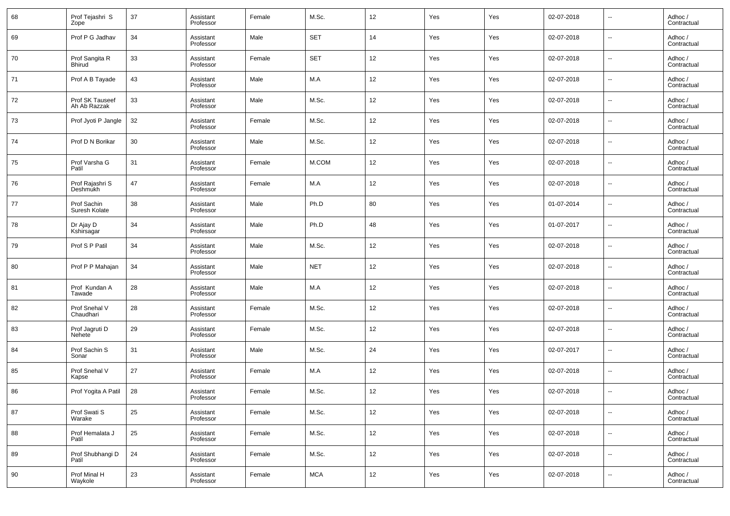| 68 | Prof Tejashri S<br>Zope         | 37 | Assistant<br>Professor | Female | M.Sc.      | 12 | Yes | Yes | 02-07-2018 | $\overline{\phantom{a}}$ | Adhoc /<br>Contractual |
|----|---------------------------------|----|------------------------|--------|------------|----|-----|-----|------------|--------------------------|------------------------|
| 69 | Prof P G Jadhav                 | 34 | Assistant<br>Professor | Male   | <b>SET</b> | 14 | Yes | Yes | 02-07-2018 | $\overline{\phantom{a}}$ | Adhoc /<br>Contractual |
| 70 | Prof Sangita R<br>Bhirud        | 33 | Assistant<br>Professor | Female | <b>SET</b> | 12 | Yes | Yes | 02-07-2018 | $\overline{\phantom{a}}$ | Adhoc /<br>Contractual |
| 71 | Prof A B Tayade                 | 43 | Assistant<br>Professor | Male   | M.A        | 12 | Yes | Yes | 02-07-2018 | $\overline{\phantom{a}}$ | Adhoc /<br>Contractual |
| 72 | Prof SK Tauseef<br>Ah Ab Razzak | 33 | Assistant<br>Professor | Male   | M.Sc.      | 12 | Yes | Yes | 02-07-2018 | $\overline{\phantom{a}}$ | Adhoc /<br>Contractual |
| 73 | Prof Jyoti P Jangle             | 32 | Assistant<br>Professor | Female | M.Sc.      | 12 | Yes | Yes | 02-07-2018 | $\overline{\phantom{a}}$ | Adhoc /<br>Contractual |
| 74 | Prof D N Borikar                | 30 | Assistant<br>Professor | Male   | M.Sc.      | 12 | Yes | Yes | 02-07-2018 | $\overline{\phantom{a}}$ | Adhoc /<br>Contractual |
| 75 | Prof Varsha G<br>Patil          | 31 | Assistant<br>Professor | Female | M.COM      | 12 | Yes | Yes | 02-07-2018 | $\overline{\phantom{a}}$ | Adhoc /<br>Contractual |
| 76 | Prof Rajashri S<br>Deshmukh     | 47 | Assistant<br>Professor | Female | M.A        | 12 | Yes | Yes | 02-07-2018 | $\overline{\phantom{a}}$ | Adhoc /<br>Contractual |
| 77 | Prof Sachin<br>Suresh Kolate    | 38 | Assistant<br>Professor | Male   | Ph.D       | 80 | Yes | Yes | 01-07-2014 | $\overline{\phantom{a}}$ | Adhoc /<br>Contractual |
| 78 | Dr Ajay D<br>Kshirsagar         | 34 | Assistant<br>Professor | Male   | Ph.D       | 48 | Yes | Yes | 01-07-2017 | $\overline{\phantom{a}}$ | Adhoc /<br>Contractual |
| 79 | Prof S P Patil                  | 34 | Assistant<br>Professor | Male   | M.Sc.      | 12 | Yes | Yes | 02-07-2018 | $\overline{\phantom{a}}$ | Adhoc /<br>Contractual |
| 80 | Prof P P Mahajan                | 34 | Assistant<br>Professor | Male   | <b>NET</b> | 12 | Yes | Yes | 02-07-2018 | $\overline{\phantom{a}}$ | Adhoc /<br>Contractual |
| 81 | Prof Kundan A<br>Tawade         | 28 | Assistant<br>Professor | Male   | M.A        | 12 | Yes | Yes | 02-07-2018 | $\overline{\phantom{a}}$ | Adhoc /<br>Contractual |
| 82 | Prof Snehal V<br>Chaudhari      | 28 | Assistant<br>Professor | Female | M.Sc.      | 12 | Yes | Yes | 02-07-2018 | $\overline{\phantom{a}}$ | Adhoc /<br>Contractual |
| 83 | Prof Jagruti D<br><b>Nehete</b> | 29 | Assistant<br>Professor | Female | M.Sc.      | 12 | Yes | Yes | 02-07-2018 | $\overline{\phantom{a}}$ | Adhoc /<br>Contractual |
| 84 | Prof Sachin S<br>Sonar          | 31 | Assistant<br>Professor | Male   | M.Sc.      | 24 | Yes | Yes | 02-07-2017 | $\overline{\phantom{a}}$ | Adhoc /<br>Contractual |
| 85 | Prof Snehal V<br>Kapse          | 27 | Assistant<br>Professor | Female | M.A        | 12 | Yes | Yes | 02-07-2018 | $\overline{\phantom{a}}$ | Adhoc /<br>Contractual |
| 86 | Prof Yogita A Patil             | 28 | Assistant<br>Professor | Female | M.Sc.      | 12 | Yes | Yes | 02-07-2018 | $\overline{\phantom{a}}$ | Adhoc /<br>Contractual |
| 87 | Prof Swati S<br>Warake          | 25 | Assistant<br>Professor | Female | M.Sc.      | 12 | Yes | Yes | 02-07-2018 | $\overline{\phantom{a}}$ | Adhoc /<br>Contractual |
| 88 | Prof Hemalata J<br>Patil        | 25 | Assistant<br>Professor | Female | M.Sc.      | 12 | Yes | Yes | 02-07-2018 | $\overline{\phantom{a}}$ | Adhoc /<br>Contractual |
| 89 | Prof Shubhangi D<br>Patil       | 24 | Assistant<br>Professor | Female | M.Sc.      | 12 | Yes | Yes | 02-07-2018 | ۰.                       | Adhoc /<br>Contractual |
| 90 | Prof Minal H<br>Waykole         | 23 | Assistant<br>Professor | Female | <b>MCA</b> | 12 | Yes | Yes | 02-07-2018 | $\overline{\phantom{a}}$ | Adhoc /<br>Contractual |